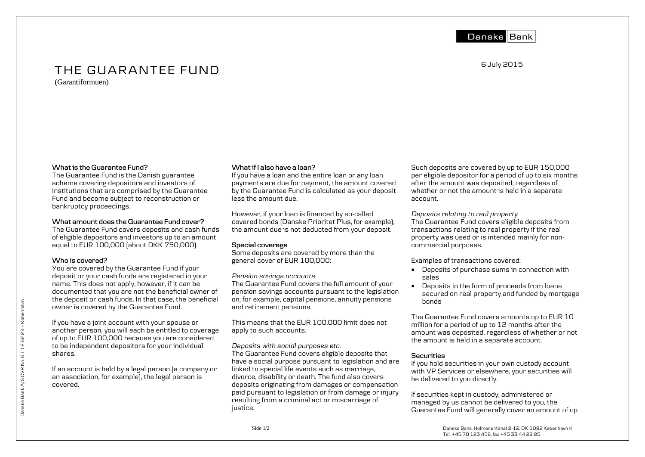Danske Bank

6 July 2015

# THE GUARANTEE FUND

(Garantiformuen)

#### **What is the Guarantee Fund?**

The Guarantee Fund is the Danish guarantee scheme covering depositors and investors of institutions that are comprised by the Guarantee Fund and become subject to reconstruction or bankruptcy proceedings.

# **What amount does the Guarantee Fund cover?**

The Guarantee Fund covers deposits and cash funds of eligible depositors and investors up to an amount equal to EUR 100,000 (about DKK 750,000).

# **Who is covered?**

You are covered by the Guarantee Fund if your deposit or your cash funds are registered in your name. This does not apply, however, if it can be documented that you are not the beneficial owner of the deposit or cash funds. In that case, the beneficial owner is covered by the Guarantee Fund.

If you have a joint account with your spouse or another person, you will each be entitled to coverage of up to EUR 100,000 because you are considered to be independent depositors for your individual shares.

If an account is held by a legal person (a company or an association, for example), the legal person is covered.

# **What if I also have a loan?**

If you have a loan and the entire loan or any loan payments are due for payment, the amount covered by the Guarantee Fund is calculated as your deposit less the amount due.

However, if your loan is financed by so-called covered bonds (Danske Prioritet Plus, for example), the amount due is not deducted from your deposit.

# **Special coverage**

Some deposits are covered by more than the general cover of EUR 100,000:

#### *Pension savings accounts*

The Guarantee Fund covers the full amount of your pension savings accounts pursuant to the legislation on, for example, capital pensions, annuity pensions and retirement pensions.

This means that the EUR 100,000 limit does not apply to such accounts.

#### *Deposits with social purposes etc.*

The Guarantee Fund covers eligible deposits that have a social purpose pursuant to legislation and are linked to special life events such as marriage, divorce, disability or death. The fund also covers deposits originating from damages or compensation paid pursuant to legislation or from damage or injury resulting from a criminal act or miscarriage of justice.

Such deposits are covered by up to EUR 150,000 per eligible depositor for a period of up to six months after the amount was deposited, regardless of whether or not the amount is held in a separate account.

*Deposits relating to real property* The Guarantee Fund covers eligible deposits from transactions relating to real property if the real property was used or is intended mainly for noncommercial purposes.

Examples of transactions covered:

- Deposits of purchase sums in connection with sales
- Deposits in the form of proceeds from loans secured on real property and funded by mortgage bonds

The Guarantee Fund covers amounts up to EUR 10 million for a period of up to 12 months after the amount was deposited, regardless of whether or not the amount is held in a separate account.

# **Securities**

If you hold securities in your own custody account with VP Services or elsewhere, your securities will be delivered to you directly.

If securities kept in custody, administered or managed by us cannot be delivered to you, the Guarantee Fund will generally cover an amount of up